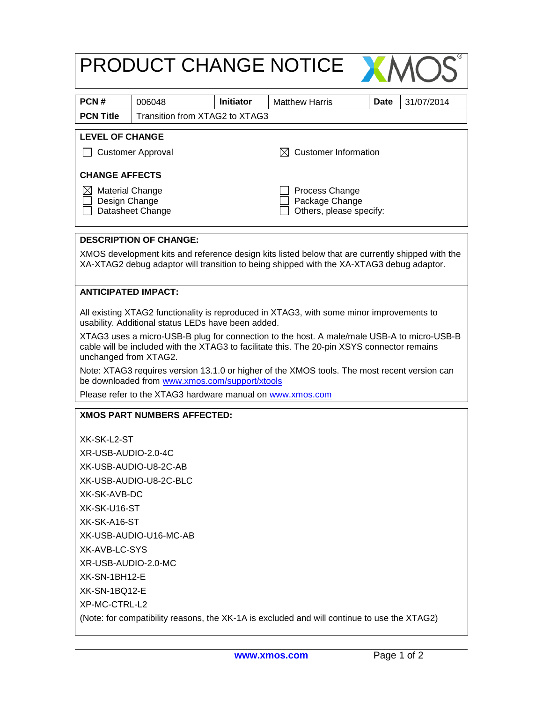| PRODUCT CHANGE NOTICE                                                                                                                                                                                              |                                                           |                  |                                                             |                                                                                              |  |  |
|--------------------------------------------------------------------------------------------------------------------------------------------------------------------------------------------------------------------|-----------------------------------------------------------|------------------|-------------------------------------------------------------|----------------------------------------------------------------------------------------------|--|--|
| PCN#                                                                                                                                                                                                               | 006048                                                    | <b>Initiator</b> | <b>Matthew Harris</b>                                       | Date<br>31/07/2014                                                                           |  |  |
| <b>PCN Title</b>                                                                                                                                                                                                   | Transition from XTAG2 to XTAG3                            |                  |                                                             |                                                                                              |  |  |
| <b>LEVEL OF CHANGE</b>                                                                                                                                                                                             |                                                           |                  |                                                             |                                                                                              |  |  |
| <b>Customer Information</b><br><b>Customer Approval</b><br>IXL                                                                                                                                                     |                                                           |                  |                                                             |                                                                                              |  |  |
| <b>CHANGE AFFECTS</b>                                                                                                                                                                                              |                                                           |                  |                                                             |                                                                                              |  |  |
| $\boxtimes$ Material Change<br>Design Change<br>Datasheet Change                                                                                                                                                   |                                                           |                  | Process Change<br>Package Change<br>Others, please specify: |                                                                                              |  |  |
|                                                                                                                                                                                                                    | <b>DESCRIPTION OF CHANGE:</b>                             |                  |                                                             |                                                                                              |  |  |
| XMOS development kits and reference design kits listed below that are currently shipped with the<br>XA-XTAG2 debug adaptor will transition to being shipped with the XA-XTAG3 debug adaptor.                       |                                                           |                  |                                                             |                                                                                              |  |  |
| <b>ANTICIPATED IMPACT:</b>                                                                                                                                                                                         |                                                           |                  |                                                             |                                                                                              |  |  |
| All existing XTAG2 functionality is reproduced in XTAG3, with some minor improvements to<br>usability. Additional status LEDs have been added.                                                                     |                                                           |                  |                                                             |                                                                                              |  |  |
| XTAG3 uses a micro-USB-B plug for connection to the host. A male/male USB-A to micro-USB-B<br>cable will be included with the XTAG3 to facilitate this. The 20-pin XSYS connector remains<br>unchanged from XTAG2. |                                                           |                  |                                                             |                                                                                              |  |  |
|                                                                                                                                                                                                                    | be downloaded from www.xmos.com/support/xtools            |                  |                                                             | Note: XTAG3 requires version 13.1.0 or higher of the XMOS tools. The most recent version can |  |  |
|                                                                                                                                                                                                                    | Please refer to the XTAG3 hardware manual on www.xmos.com |                  |                                                             |                                                                                              |  |  |
|                                                                                                                                                                                                                    | <b>XMOS PART NUMBERS AFFECTED:</b>                        |                  |                                                             |                                                                                              |  |  |
| XK-SK-L2-ST                                                                                                                                                                                                        |                                                           |                  |                                                             |                                                                                              |  |  |
| XR-USB-AUDIO-2.0-4C                                                                                                                                                                                                |                                                           |                  |                                                             |                                                                                              |  |  |
| XK-USB-AUDIO-U8-2C-AB                                                                                                                                                                                              |                                                           |                  |                                                             |                                                                                              |  |  |
| XK-USB-AUDIO-U8-2C-BLC                                                                                                                                                                                             |                                                           |                  |                                                             |                                                                                              |  |  |
| XK-SK-AVB-DC                                                                                                                                                                                                       |                                                           |                  |                                                             |                                                                                              |  |  |
| XK-SK-U16-ST                                                                                                                                                                                                       |                                                           |                  |                                                             |                                                                                              |  |  |
| XK-SK-A16-ST                                                                                                                                                                                                       |                                                           |                  |                                                             |                                                                                              |  |  |
| XK-USB-AUDIO-U16-MC-AB                                                                                                                                                                                             |                                                           |                  |                                                             |                                                                                              |  |  |
| XK-AVB-LC-SYS                                                                                                                                                                                                      |                                                           |                  |                                                             |                                                                                              |  |  |
| XR-USB-AUDIO-2.0-MC                                                                                                                                                                                                |                                                           |                  |                                                             |                                                                                              |  |  |
| XK-SN-1BH12-E                                                                                                                                                                                                      |                                                           |                  |                                                             |                                                                                              |  |  |
| XK-SN-1BQ12-E                                                                                                                                                                                                      |                                                           |                  |                                                             |                                                                                              |  |  |
| XP-MC-CTRL-L2                                                                                                                                                                                                      |                                                           |                  |                                                             |                                                                                              |  |  |
| (Note: for compatibility reasons, the XK-1A is excluded and will continue to use the XTAG2)                                                                                                                        |                                                           |                  |                                                             |                                                                                              |  |  |